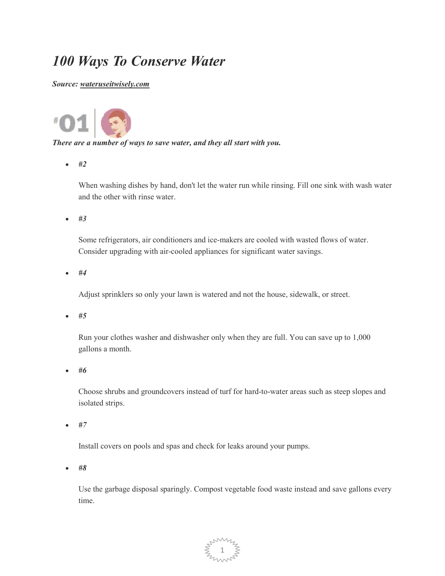## *100 Ways To Conserve Water*

*Source: wateruseitwisely.com*



## *There are a number of ways to save water, and they all start with you.*

• *#2* 

When washing dishes by hand, don't let the water run while rinsing. Fill one sink with wash water and the other with rinse water.

• *#3* 

Some refrigerators, air conditioners and ice-makers are cooled with wasted flows of water. Consider upgrading with air-cooled appliances for significant water savings.

• *#4* 

Adjust sprinklers so only your lawn is watered and not the house, sidewalk, or street.

• *#5* 

Run your clothes washer and dishwasher only when they are full. You can save up to 1,000 gallons a month.

• *#6* 

Choose shrubs and groundcovers instead of turf for hard-to-water areas such as steep slopes and isolated strips.

• *#7* 

Install covers on pools and spas and check for leaks around your pumps.

• *#8* 

Use the garbage disposal sparingly. Compost vegetable food waste instead and save gallons every time.

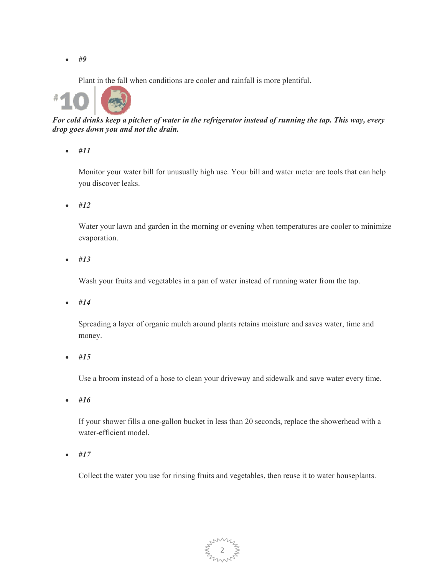Plant in the fall when conditions are cooler and rainfall is more plentiful.



*For cold drinks keep a pitcher of water in the refrigerator instead of running the tap. This way, every drop goes down you and not the drain.* 

• *#11* 

Monitor your water bill for unusually high use. Your bill and water meter are tools that can help you discover leaks.

• *#12* 

Water your lawn and garden in the morning or evening when temperatures are cooler to minimize evaporation.

• *#13* 

Wash your fruits and vegetables in a pan of water instead of running water from the tap.

• *#14* 

Spreading a layer of organic mulch around plants retains moisture and saves water, time and money.

• *#15* 

Use a broom instead of a hose to clean your driveway and sidewalk and save water every time.

• *#16* 

If your shower fills a one-gallon bucket in less than 20 seconds, replace the showerhead with a water-efficient model.

• *#17* 

Collect the water you use for rinsing fruits and vegetables, then reuse it to water houseplants.

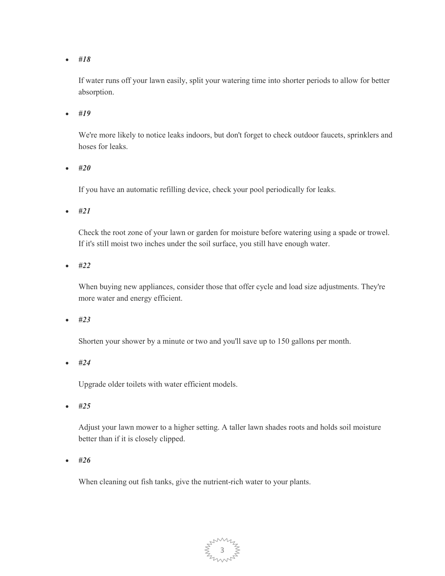If water runs off your lawn easily, split your watering time into shorter periods to allow for better absorption.

• *#19* 

We're more likely to notice leaks indoors, but don't forget to check outdoor faucets, sprinklers and hoses for leaks.

• *#20* 

If you have an automatic refilling device, check your pool periodically for leaks.

• *#21* 

Check the root zone of your lawn or garden for moisture before watering using a spade or trowel. If it's still moist two inches under the soil surface, you still have enough water.

• *#22* 

When buying new appliances, consider those that offer cycle and load size adjustments. They're more water and energy efficient.

• *#23* 

Shorten your shower by a minute or two and you'll save up to 150 gallons per month.

• *#24* 

Upgrade older toilets with water efficient models.

• *#25* 

Adjust your lawn mower to a higher setting. A taller lawn shades roots and holds soil moisture better than if it is closely clipped.

• *#26* 

When cleaning out fish tanks, give the nutrient-rich water to your plants.

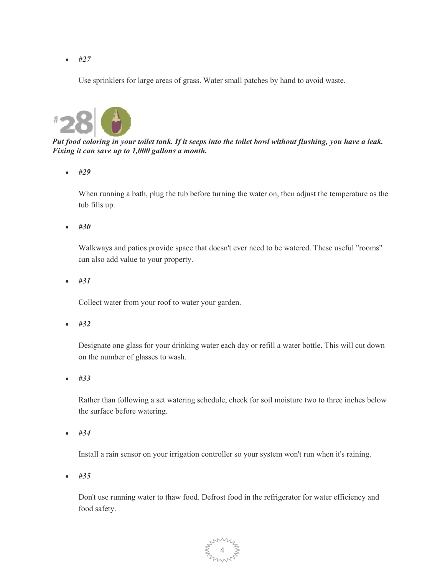Use sprinklers for large areas of grass. Water small patches by hand to avoid waste.



*Put food coloring in your toilet tank. If it seeps into the toilet bowl without flushing, you have a leak. Fixing it can save up to 1,000 gallons a month.* 

• *#29* 

When running a bath, plug the tub before turning the water on, then adjust the temperature as the tub fills up.

• *#30* 

Walkways and patios provide space that doesn't ever need to be watered. These useful "rooms" can also add value to your property.

• *#31* 

Collect water from your roof to water your garden.

• *#32* 

Designate one glass for your drinking water each day or refill a water bottle. This will cut down on the number of glasses to wash.

• *#33* 

Rather than following a set watering schedule, check for soil moisture two to three inches below the surface before watering.

• *#34* 

Install a rain sensor on your irrigation controller so your system won't run when it's raining.

• *#35* 

Don't use running water to thaw food. Defrost food in the refrigerator for water efficiency and food safety.

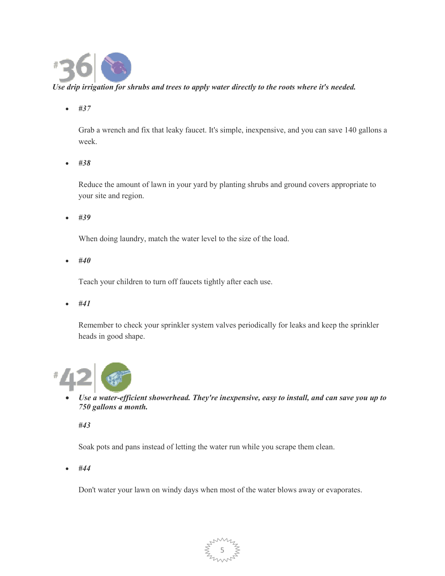

## *Use drip irrigation for shrubs and trees to apply water directly to the roots where it's needed.*

• *#37* 

Grab a wrench and fix that leaky faucet. It's simple, inexpensive, and you can save 140 gallons a week.

• *#38* 

Reduce the amount of lawn in your yard by planting shrubs and ground covers appropriate to your site and region.

• *#39* 

When doing laundry, match the water level to the size of the load.

• *#40* 

Teach your children to turn off faucets tightly after each use.

• *#41* 

Remember to check your sprinkler system valves periodically for leaks and keep the sprinkler heads in good shape.



• *Use a water-efficient showerhead. They're inexpensive, easy to install, and can save you up to 750 gallons a month.* 

*#43* 

Soak pots and pans instead of letting the water run while you scrape them clean.

• *#44* 

Don't water your lawn on windy days when most of the water blows away or evaporates.

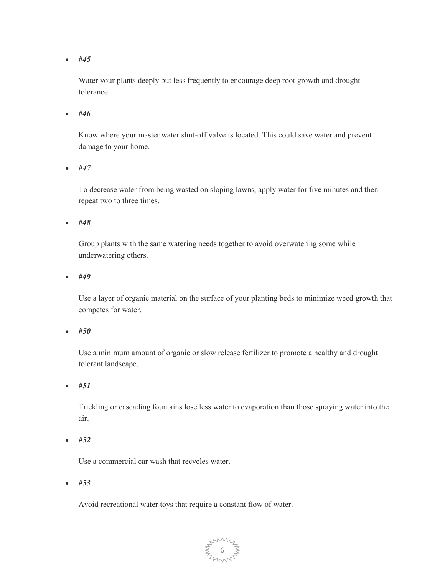Water your plants deeply but less frequently to encourage deep root growth and drought tolerance.

• *#46* 

Know where your master water shut-off valve is located. This could save water and prevent damage to your home.

• *#47* 

To decrease water from being wasted on sloping lawns, apply water for five minutes and then repeat two to three times.

• *#48* 

Group plants with the same watering needs together to avoid overwatering some while underwatering others.

• *#49* 

Use a layer of organic material on the surface of your planting beds to minimize weed growth that competes for water.

• *#50* 

Use a minimum amount of organic or slow release fertilizer to promote a healthy and drought tolerant landscape.

• *#51* 

Trickling or cascading fountains lose less water to evaporation than those spraying water into the air.

• *#52* 

Use a commercial car wash that recycles water.

• *#53* 

Avoid recreational water toys that require a constant flow of water.

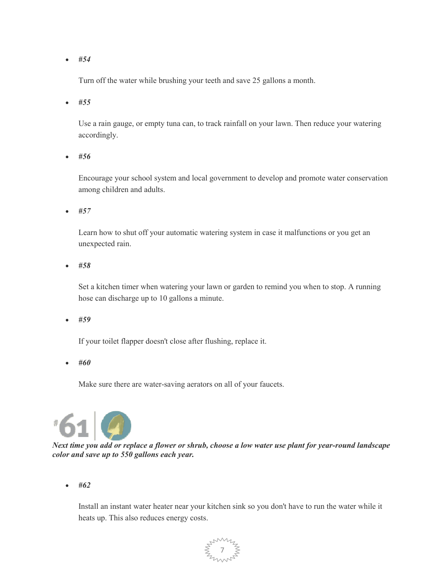Turn off the water while brushing your teeth and save 25 gallons a month.

• *#55* 

Use a rain gauge, or empty tuna can, to track rainfall on your lawn. Then reduce your watering accordingly.

• *#56* 

Encourage your school system and local government to develop and promote water conservation among children and adults.

• *#57* 

Learn how to shut off your automatic watering system in case it malfunctions or you get an unexpected rain.

• *#58* 

Set a kitchen timer when watering your lawn or garden to remind you when to stop. A running hose can discharge up to 10 gallons a minute.

• *#59* 

If your toilet flapper doesn't close after flushing, replace it.

• *#60* 

Make sure there are water-saving aerators on all of your faucets.



*Next time you add or replace a flower or shrub, choose a low water use plant for year-round landscape color and save up to 550 gallons each year.* 

• *#62* 

Install an instant water heater near your kitchen sink so you don't have to run the water while it heats up. This also reduces energy costs.

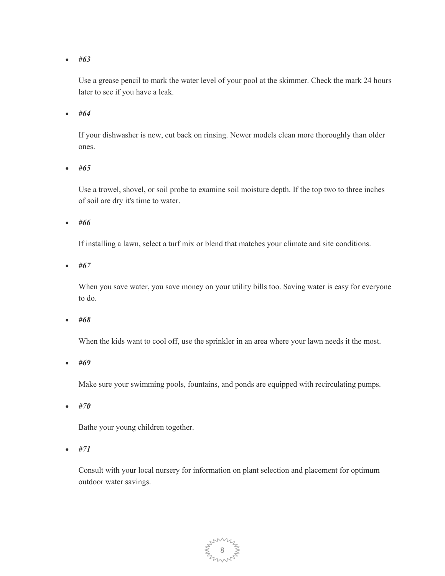Use a grease pencil to mark the water level of your pool at the skimmer. Check the mark 24 hours later to see if you have a leak.

• *#64* 

If your dishwasher is new, cut back on rinsing. Newer models clean more thoroughly than older ones.

• *#65* 

Use a trowel, shovel, or soil probe to examine soil moisture depth. If the top two to three inches of soil are dry it's time to water.

• *#66* 

If installing a lawn, select a turf mix or blend that matches your climate and site conditions.

• *#67* 

When you save water, you save money on your utility bills too. Saving water is easy for everyone to do.

• *#68* 

When the kids want to cool off, use the sprinkler in an area where your lawn needs it the most.

• *#69* 

Make sure your swimming pools, fountains, and ponds are equipped with recirculating pumps.

• *#70* 

Bathe your young children together.

• *#71* 

Consult with your local nursery for information on plant selection and placement for optimum outdoor water savings.

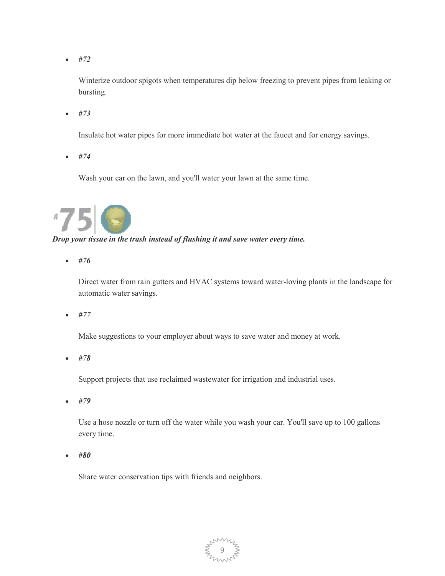Winterize outdoor spigots when temperatures dip below freezing to prevent pipes from leaking or bursting.

• *#73* 

Insulate hot water pipes for more immediate hot water at the faucet and for energy savings.

• *#74* 

Wash your car on the lawn, and you'll water your lawn at the same time.



*Drop your tissue in the trash instead of flushing it and save water every time.* 

• *#76* 

Direct water from rain gutters and HVAC systems toward water-loving plants in the landscape for automatic water savings.

• *#77* 

Make suggestions to your employer about ways to save water and money at work.

• *#78* 

Support projects that use reclaimed wastewater for irrigation and industrial uses.

• *#79* 

Use a hose nozzle or turn off the water while you wash your car. You'll save up to 100 gallons every time.

• *#80* 

Share water conservation tips with friends and neighbors.

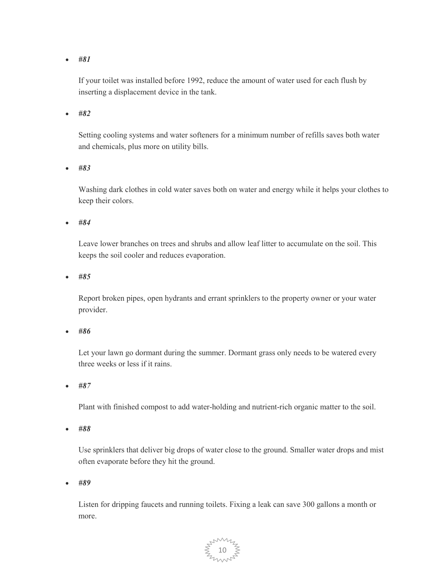If your toilet was installed before 1992, reduce the amount of water used for each flush by inserting a displacement device in the tank.

• *#82* 

Setting cooling systems and water softeners for a minimum number of refills saves both water and chemicals, plus more on utility bills.

• *#83* 

Washing dark clothes in cold water saves both on water and energy while it helps your clothes to keep their colors.

• *#84* 

Leave lower branches on trees and shrubs and allow leaf litter to accumulate on the soil. This keeps the soil cooler and reduces evaporation.

• *#85* 

Report broken pipes, open hydrants and errant sprinklers to the property owner or your water provider.

• *#86* 

Let your lawn go dormant during the summer. Dormant grass only needs to be watered every three weeks or less if it rains.

• *#87* 

Plant with finished compost to add water-holding and nutrient-rich organic matter to the soil.

• *#88* 

Use sprinklers that deliver big drops of water close to the ground. Smaller water drops and mist often evaporate before they hit the ground.

• *#89* 

Listen for dripping faucets and running toilets. Fixing a leak can save 300 gallons a month or more.

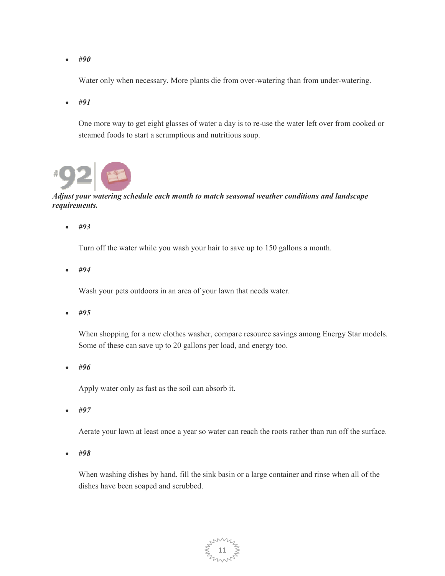Water only when necessary. More plants die from over-watering than from under-watering.

• *#91* 

One more way to get eight glasses of water a day is to re-use the water left over from cooked or steamed foods to start a scrumptious and nutritious soup.



## *Adjust your watering schedule each month to match seasonal weather conditions and landscape requirements.*

• *#93* 

Turn off the water while you wash your hair to save up to 150 gallons a month.

• *#94* 

Wash your pets outdoors in an area of your lawn that needs water.

• *#95* 

When shopping for a new clothes washer, compare resource savings among Energy Star models. Some of these can save up to 20 gallons per load, and energy too.

• *#96* 

Apply water only as fast as the soil can absorb it.

• *#97* 

Aerate your lawn at least once a year so water can reach the roots rather than run off the surface.

• *#98* 

When washing dishes by hand, fill the sink basin or a large container and rinse when all of the dishes have been soaped and scrubbed.

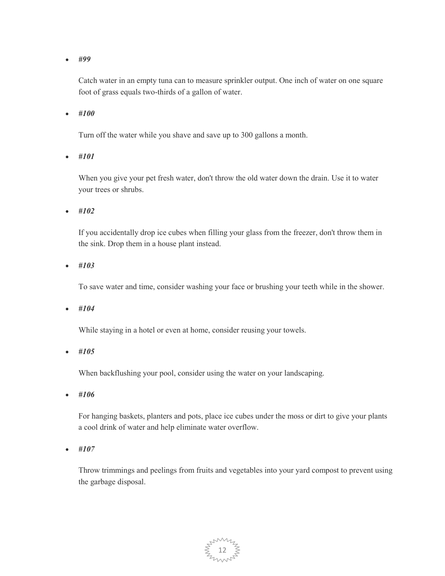Catch water in an empty tuna can to measure sprinkler output. One inch of water on one square foot of grass equals two-thirds of a gallon of water.

• *#100* 

Turn off the water while you shave and save up to 300 gallons a month.

• *#101* 

When you give your pet fresh water, don't throw the old water down the drain. Use it to water your trees or shrubs.

• *#102* 

If you accidentally drop ice cubes when filling your glass from the freezer, don't throw them in the sink. Drop them in a house plant instead.

• *#103* 

To save water and time, consider washing your face or brushing your teeth while in the shower.

• *#104* 

While staying in a hotel or even at home, consider reusing your towels.

• *#105* 

When backflushing your pool, consider using the water on your landscaping.

• *#106* 

For hanging baskets, planters and pots, place ice cubes under the moss or dirt to give your plants a cool drink of water and help eliminate water overflow.

• *#107* 

Throw trimmings and peelings from fruits and vegetables into your yard compost to prevent using the garbage disposal.